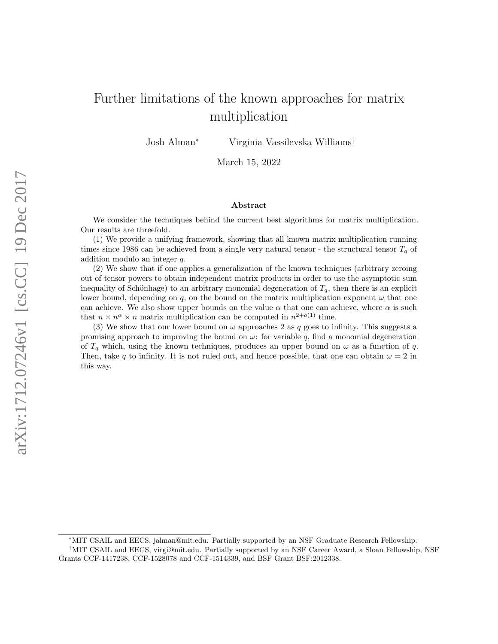# Further limitations of the known approaches for matrix multiplication

Josh Alman<sup>∗</sup> Virginia Vassilevska Williams†

March 15, 2022

#### Abstract

We consider the techniques behind the current best algorithms for matrix multiplication. Our results are threefold.

(1) We provide a unifying framework, showing that all known matrix multiplication running times since 1986 can be achieved from a single very natural tensor - the structural tensor  $T_q$  of addition modulo an integer q.

(2) We show that if one applies a generalization of the known techniques (arbitrary zeroing out of tensor powers to obtain independent matrix products in order to use the asymptotic sum inequality of Schönhage) to an arbitrary monomial degeneration of  $T_q$ , then there is an explicit lower bound, depending on q, on the bound on the matrix multiplication exponent  $\omega$  that one can achieve. We also show upper bounds on the value  $\alpha$  that one can achieve, where  $\alpha$  is such that  $n \times n^{\alpha} \times n$  matrix multiplication can be computed in  $n^{2+o(1)}$  time.

(3) We show that our lower bound on  $\omega$  approaches 2 as q goes to infinity. This suggests a promising approach to improving the bound on  $\omega$ : for variable q, find a monomial degeneration of  $T_q$  which, using the known techniques, produces an upper bound on  $\omega$  as a function of q. Then, take q to infinity. It is not ruled out, and hence possible, that one can obtain  $\omega = 2$  in this way.

<sup>∗</sup>MIT CSAIL and EECS, jalman@mit.edu. Partially supported by an NSF Graduate Research Fellowship.

<sup>†</sup>MIT CSAIL and EECS, virgi@mit.edu. Partially supported by an NSF Career Award, a Sloan Fellowship, NSF Grants CCF-1417238, CCF-1528078 and CCF-1514339, and BSF Grant BSF:2012338.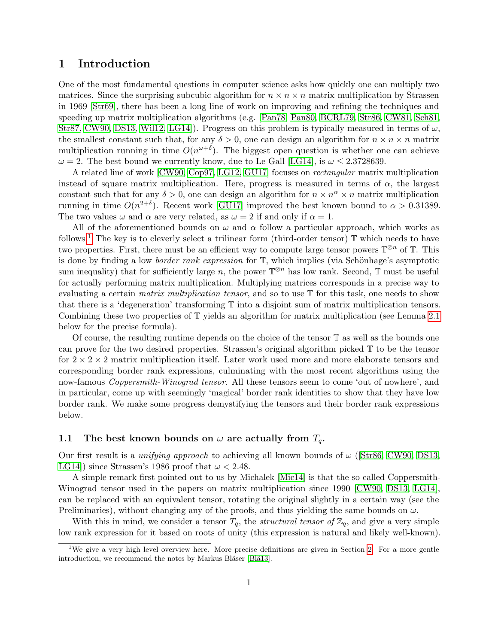# 1 Introduction

One of the most fundamental questions in computer science asks how quickly one can multiply two matrices. Since the surprising subcubic algorithm for  $n \times n \times n$  matrix multiplication by Strassen in 1969 [\[Str69\]](#page-15-0), there has been a long line of work on improving and refining the techniques and speeding up matrix multiplication algorithms (e.g. [\[Pan78,](#page-15-1) [Pan80,](#page-15-2) [BCRL79,](#page-14-0) [Str86,](#page-15-3) [CW81,](#page-14-1) [Sch81,](#page-15-4) [Str87,](#page-15-5) [CW90,](#page-14-2) [DS13,](#page-14-3) Will2, LG14. Progress on this problem is typically measured in terms of  $\omega$ , the smallest constant such that, for any  $\delta > 0$ , one can design an algorithm for  $n \times n \times n$  matrix multiplication running in time  $O(n^{\omega+\delta})$ . The biggest open question is whether one can achieve  $\omega = 2$ . The best bound we currently know, due to Le Gall [\[LG14\]](#page-14-4), is  $\omega \leq 2.3728639$ .

A related line of work [\[CW90,](#page-14-2) [Cop97,](#page-14-5) [LG12,](#page-14-6) [GU17\]](#page-14-7) focuses on rectangular matrix multiplication instead of square matrix multiplication. Here, progress is measured in terms of  $\alpha$ , the largest constant such that for any  $\delta > 0$ , one can design an algorithm for  $n \times n^{\alpha} \times n$  matrix multiplication running in time  $O(n^{2+\delta})$ . Recent work [\[GU17\]](#page-14-7) improved the best known bound to  $\alpha > 0.31389$ . The two values  $\omega$  and  $\alpha$  are very related, as  $\omega = 2$  if and only if  $\alpha = 1$ .

All of the aforementioned bounds on  $\omega$  and  $\alpha$  follow a particular approach, which works as follows.<sup>[1](#page-1-0)</sup> The key is to cleverly select a trilinear form (third-order tensor)  $\mathbb T$  which needs to have two properties. First, there must be an efficient way to compute large tensor powers  $\mathbb{T}^{\otimes n}$  of  $\mathbb{T}$ . This is done by finding a low *border rank expression* for  $\mathbb{T}$ , which implies (via Schönhage's asymptotic sum inequality) that for sufficiently large n, the power  $\mathbb{T}^{\otimes n}$  has low rank. Second,  $\mathbb{T}$  must be useful for actually performing matrix multiplication. Multiplying matrices corresponds in a precise way to evaluating a certain *matrix multiplication tensor*, and so to use  $T$  for this task, one needs to show that there is a 'degeneration' transforming T into a disjoint sum of matrix multiplication tensors. Combining these two properties of T yields an algorithm for matrix multiplication (see Lemma [2.1](#page-7-0) below for the precise formula).

Of course, the resulting runtime depends on the choice of the tensor T as well as the bounds one can prove for the two desired properties. Strassen's original algorithm picked T to be the tensor for  $2 \times 2 \times 2$  matrix multiplication itself. Later work used more and more elaborate tensors and corresponding border rank expressions, culminating with the most recent algorithms using the now-famous *Coppersmith-Winograd tensor.* All these tensors seem to come 'out of nowhere', and in particular, come up with seemingly 'magical' border rank identities to show that they have low border rank. We make some progress demystifying the tensors and their border rank expressions below.

# 1.1 The best known bounds on  $\omega$  are actually from  $T_q$ .

Our first result is a *unifying approach* to achieving all known bounds of  $\omega$  ([\[Str86,](#page-15-3) [CW90,](#page-14-2) [DS13,](#page-14-3) LG14) since Strassen's 1986 proof that  $\omega < 2.48$ .

A simple remark first pointed out to us by Michalek [\[Mic14\]](#page-14-8) is that the so called Coppersmith-Winograd tensor used in the papers on matrix multiplication since 1990 [\[CW90,](#page-14-2) [DS13,](#page-14-3) [LG14\]](#page-14-4), can be replaced with an equivalent tensor, rotating the original slightly in a certain way (see the Preliminaries), without changing any of the proofs, and thus yielding the same bounds on  $\omega$ .

With this in mind, we consider a tensor  $T_q$ , the *structural tensor of*  $\mathbb{Z}_q$ , and give a very simple low rank expression for it based on roots of unity (this expression is natural and likely well-known).

<span id="page-1-0"></span><sup>&</sup>lt;sup>1</sup>We give a very high level overview here. More precise definitions are given in Section [2.](#page-5-0) For a more gentle introduction, we recommend the notes by Markus Bläser [Blä13].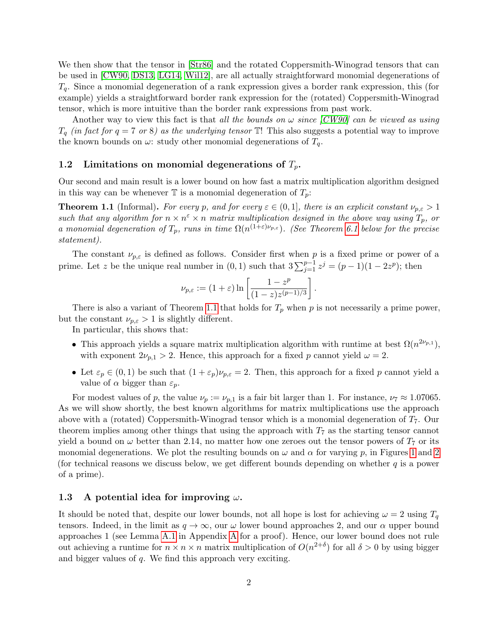We then show that the tensor in [\[Str86\]](#page-15-3) and the rotated Coppersmith-Winograd tensors that can be used in [\[CW90,](#page-14-2) [DS13,](#page-14-3) [LG14,](#page-14-4) [Wil12\]](#page-15-6), are all actually straightforward monomial degenerations of  $T_q$ . Since a monomial degeneration of a rank expression gives a border rank expression, this (for example) yields a straightforward border rank expression for the (rotated) Coppersmith-Winograd tensor, which is more intuitive than the border rank expressions from past work.

Another way to view this fact is that all the bounds on  $\omega$  since [\[CW90\]](#page-14-2) can be viewed as using  $T_q$  (in fact for  $q = 7$  or 8) as the underlying tensor  $\mathbb{T}!$ . This also suggests a potential way to improve the known bounds on  $\omega$ : study other monomial degenerations of  $T_q$ .

#### 1.2 Limitations on monomial degenerations of  $T_p$ .

Our second and main result is a lower bound on how fast a matrix multiplication algorithm designed in this way can be whenever  $\mathbb T$  is a monomial degeneration of  $T_p$ :

<span id="page-2-0"></span>**Theorem 1.1** (Informal). For every p, and for every  $\varepsilon \in (0,1]$ , there is an explicit constant  $\nu_{p,\varepsilon} > 1$ such that any algorithm for  $n \times n^{\epsilon} \times n$  matrix multiplication designed in the above way using  $T_p$ , or a monomial degeneration of  $T_p$ , runs in time  $\Omega(n^{(1+\epsilon)\nu_{p,\epsilon}})$ . (See Theorem [6.1](#page-13-0) below for the precise statement).

The constant  $\nu_{p,\varepsilon}$  is defined as follows. Consider first when p is a fixed prime or power of a prime. Let z be the unique real number in  $(0, 1)$  such that  $3\sum_{j=1}^{p-1} z^j = (p-1)(1-2z^p)$ ; then

$$
\nu_{p,\varepsilon} := (1+\varepsilon) \ln \left[ \frac{1-z^p}{(1-z)z^{(p-1)/3}} \right].
$$

There is also a variant of Theorem [1.1](#page-2-0) that holds for  $T_p$  when p is not necessarily a prime power, but the constant  $\nu_{p,\varepsilon} > 1$  is slightly different.

In particular, this shows that:

- This approach yields a square matrix multiplication algorithm with runtime at best  $\Omega(n^{2\nu_{p,1}})$ , with exponent  $2\nu_{p,1} > 2$ . Hence, this approach for a fixed p cannot yield  $\omega = 2$ .
- Let  $\varepsilon_p \in (0,1)$  be such that  $(1+\varepsilon_p)\nu_{p,\varepsilon} = 2$ . Then, this approach for a fixed p cannot yield a value of  $\alpha$  bigger than  $\varepsilon_p$ .

For modest values of p, the value  $\nu_p := \nu_{p,1}$  is a fair bit larger than 1. For instance,  $\nu_7 \approx 1.07065$ . As we will show shortly, the best known algorithms for matrix multiplications use the approach above with a (rotated) Coppersmith-Winograd tensor which is a monomial degeneration of  $T_7$ . Our theorem implies among other things that using the approach with  $T<sub>7</sub>$  as the starting tensor cannot yield a bound on  $\omega$  better than 2.14, no matter how one zeroes out the tensor powers of  $T_7$  or its monomial degenerations. We plot the resulting bounds on  $\omega$  and  $\alpha$  for varying p, in Figures [1](#page-3-0) and [2](#page-3-1) (for technical reasons we discuss below, we get different bounds depending on whether  $q$  is a power of a prime).

### 1.3 A potential idea for improving  $\omega$ .

It should be noted that, despite our lower bounds, not all hope is lost for achieving  $\omega = 2$  using  $T_q$ tensors. Indeed, in the limit as  $q \to \infty$ , our  $\omega$  lower bound approaches 2, and our  $\alpha$  upper bound approaches 1 (see Lemma [A.1](#page-15-7) in Appendix [A](#page-15-8) for a proof). Hence, our lower bound does not rule out achieving a runtime for  $n \times n \times n$  matrix multiplication of  $O(n^{2+\delta})$  for all  $\delta > 0$  by using bigger and bigger values of q. We find this approach very exciting.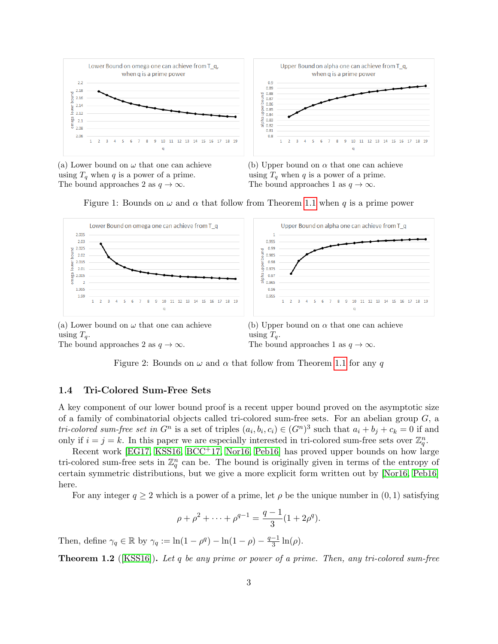<span id="page-3-0"></span>

(a) Lower bound on  $\omega$  that one can achieve using  $T_q$  when q is a power of a prime. The bound approaches 2 as  $q \to \infty$ .

(b) Upper bound on  $\alpha$  that one can achieve using  $T_q$  when q is a power of a prime. The bound approaches 1 as  $q \to \infty$ .

Figure 1: Bounds on  $\omega$  and  $\alpha$  that follow from Theorem [1.1](#page-2-0) when q is a prime power

<span id="page-3-1"></span>

using  $T_a$ . The bound approaches 2 as  $q \to \infty$ .

using  $T_q$ . The bound approaches 1 as  $q \to \infty$ .

Figure 2: Bounds on  $\omega$  and  $\alpha$  that follow from Theorem [1.1](#page-2-0) for any q

#### <span id="page-3-2"></span>1.4 Tri-Colored Sum-Free Sets

A key component of our lower bound proof is a recent upper bound proved on the asymptotic size of a family of combinatorial objects called tri-colored sum-free sets. For an abelian group  $G$ , a tri-colored sum-free set in  $G^n$  is a set of triples  $(a_i, b_i, c_i) \in (G^n)^3$  such that  $a_i + b_j + c_k = 0$  if and only if  $i = j = k$ . In this paper we are especially interested in tri-colored sum-free sets over  $\mathbb{Z}_q^n$ .

Recent work [\[EG17,](#page-14-10) [KSS16,](#page-14-11) [BCC](#page-14-12)+17, [Nor16,](#page-15-9) [Peb16\]](#page-15-10) has proved upper bounds on how large tri-colored sum-free sets in  $\mathbb{Z}_q^n$  can be. The bound is originally given in terms of the entropy of certain symmetric distributions, but we give a more explicit form written out by [\[Nor16,](#page-15-9) [Peb16\]](#page-15-10) here.

For any integer  $q \ge 2$  which is a power of a prime, let  $\rho$  be the unique number in  $(0, 1)$  satisfying

$$
\rho + \rho^2 + \dots + \rho^{q-1} = \frac{q-1}{3} (1 + 2\rho^q).
$$

Then, define  $\gamma_q \in \mathbb{R}$  by  $\gamma_q := \ln(1 - \rho^q) - \ln(1 - \rho) - \frac{q-1}{3}$  $\frac{-1}{3} \ln(\rho)$ .

**Theorem 1.2** ( $[KSS16]$ ). Let q be any prime or power of a prime. Then, any tri-colored sum-free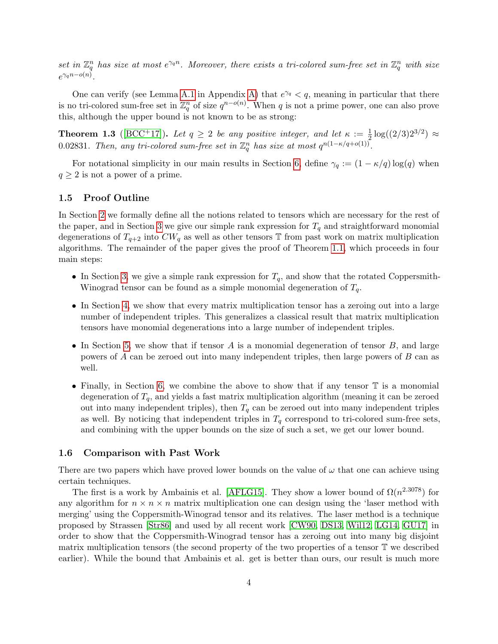set in  $\mathbb{Z}_q^n$  has size at most  $e^{\gamma_q n}$ . Moreover, there exists a tri-colored sum-free set in  $\mathbb{Z}_q^n$  with size  $e^{\gamma_q n - o(n)}$ .

One can verify (see Lemma [A.1](#page-15-7) in Appendix [A\)](#page-15-8) that  $e^{\gamma q} < q$ , meaning in particular that there is no tri-colored sum-free set in  $\mathbb{Z}_q^n$  of size  $q^{n-o(n)}$ . When q is not a prime power, one can also prove this, although the upper bound is not known to be as strong:

**Theorem 1.3** ([\[BCC](#page-14-12)<sup>+</sup>17]). Let  $q \ge 2$  be any positive integer, and let  $\kappa := \frac{1}{2} \log((2/3)2^{3/2}) \approx$ 0.02831. Then, any tri-colored sum-free set in  $\mathbb{Z}_q^n$  has size at most  $q^{n(1-\kappa/q+o(1))}$ .

For notational simplicity in our main results in Section [6,](#page-13-1) define  $\gamma_q := (1 - \kappa/q) \log(q)$  when  $q \geq 2$  is not a power of a prime.

### 1.5 Proof Outline

In Section [2](#page-5-0) we formally define all the notions related to tensors which are necessary for the rest of the paper, and in Section [3](#page-8-0) we give our simple rank expression for  $T<sub>q</sub>$  and straightforward monomial degenerations of  $T_{q+2}$  into  $CW_q$  as well as other tensors T from past work on matrix multiplication algorithms. The remainder of the paper gives the proof of Theorem [1.1,](#page-2-0) which proceeds in four main steps:

- In Section [3,](#page-8-0) we give a simple rank expression for  $T_q$ , and show that the rotated Coppersmith-Winograd tensor can be found as a simple monomial degeneration of  $T_q$ .
- In Section [4,](#page-10-0) we show that every matrix multiplication tensor has a zeroing out into a large number of independent triples. This generalizes a classical result that matrix multiplication tensors have monomial degenerations into a large number of independent triples.
- In Section [5,](#page-12-0) we show that if tensor  $A$  is a monomial degeneration of tensor  $B$ , and large powers of A can be zeroed out into many independent triples, then large powers of B can as well.
- Finally, in Section [6,](#page-13-1) we combine the above to show that if any tensor  $\mathbb T$  is a monomial degeneration of  $T_q$ , and yields a fast matrix multiplication algorithm (meaning it can be zeroed out into many independent triples), then  $T_q$  can be zeroed out into many independent triples as well. By noticing that independent triples in  $T_q$  correspond to tri-colored sum-free sets, and combining with the upper bounds on the size of such a set, we get our lower bound.

#### 1.6 Comparison with Past Work

There are two papers which have proved lower bounds on the value of  $\omega$  that one can achieve using certain techniques.

The first is a work by Ambainis et al. [\[AFLG15\]](#page-14-13). They show a lower bound of  $\Omega(n^{2.3078})$  for any algorithm for  $n \times n \times n$  matrix multiplication one can design using the 'laser method with merging' using the Coppersmith-Winograd tensor and its relatives. The laser method is a technique proposed by Strassen [\[Str86\]](#page-15-3) and used by all recent work [\[CW90,](#page-14-2) [DS13,](#page-14-3) [Wil12,](#page-15-6) [LG14,](#page-14-4) [GU17\]](#page-14-7) in order to show that the Coppersmith-Winograd tensor has a zeroing out into many big disjoint matrix multiplication tensors (the second property of the two properties of a tensor T we described earlier). While the bound that Ambainis et al. get is better than ours, our result is much more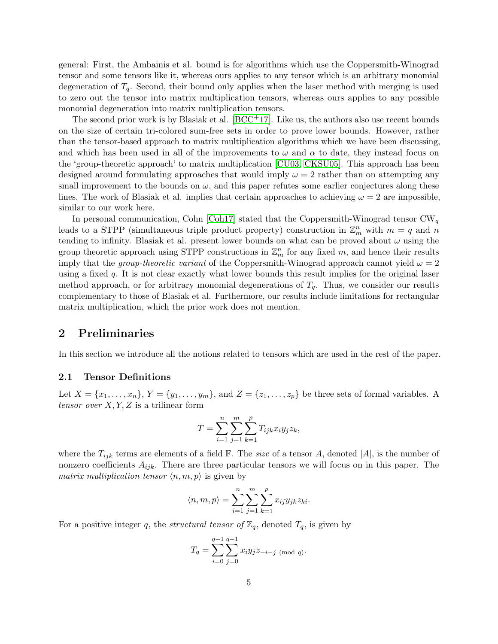general: First, the Ambainis et al. bound is for algorithms which use the Coppersmith-Winograd tensor and some tensors like it, whereas ours applies to any tensor which is an arbitrary monomial degeneration of  $T_q$ . Second, their bound only applies when the laser method with merging is used to zero out the tensor into matrix multiplication tensors, whereas ours applies to any possible monomial degeneration into matrix multiplication tensors.

The second prior work is by Blasiak et al.  $[BCC<sup>+17</sup>]$  $[BCC<sup>+17</sup>]$ . Like us, the authors also use recent bounds on the size of certain tri-colored sum-free sets in order to prove lower bounds. However, rather than the tensor-based approach to matrix multiplication algorithms which we have been discussing, and which has been used in all of the improvements to  $\omega$  and  $\alpha$  to date, they instead focus on the 'group-theoretic approach' to matrix multiplication [\[CU03,](#page-14-14) [CKSU05\]](#page-14-15). This approach has been designed around formulating approaches that would imply  $\omega = 2$  rather than on attempting any small improvement to the bounds on  $\omega$ , and this paper refutes some earlier conjectures along these lines. The work of Blasiak et al. implies that certain approaches to achieving  $\omega = 2$  are impossible, similar to our work here.

In personal communication, Cohn [\[Coh17\]](#page-14-16) stated that the Coppersmith-Winograd tensor  $CW_q$ leads to a STPP (simultaneous triple product property) construction in  $\mathbb{Z}_m^n$  with  $m = q$  and n tending to infinity. Blasiak et al. present lower bounds on what can be proved about  $\omega$  using the group theoretic approach using STPP constructions in  $\mathbb{Z}_m^n$  for any fixed m, and hence their results imply that the *group-theoretic variant* of the Coppersmith-Winograd approach cannot yield  $\omega = 2$ using a fixed q. It is not clear exactly what lower bounds this result implies for the original laser method approach, or for arbitrary monomial degenerations of  $T_q$ . Thus, we consider our results complementary to those of Blasiak et al. Furthermore, our results include limitations for rectangular matrix multiplication, which the prior work does not mention.

### <span id="page-5-0"></span>2 Preliminaries

In this section we introduce all the notions related to tensors which are used in the rest of the paper.

### 2.1 Tensor Definitions

Let  $X = \{x_1, \ldots, x_n\}, Y = \{y_1, \ldots, y_m\}, \text{ and } Z = \{z_1, \ldots, z_p\}$  be three sets of formal variables. A tensor over  $X, Y, Z$  is a trilinear form

$$
T = \sum_{i=1}^{n} \sum_{j=1}^{m} \sum_{k=1}^{p} T_{ijk} x_i y_j z_k,
$$

where the  $T_{ijk}$  terms are elements of a field F. The size of a tensor A, denoted  $|A|$ , is the number of nonzero coefficients  $A_{ijk}$ . There are three particular tensors we will focus on in this paper. The matrix multiplication tensor  $\langle n, m, p \rangle$  is given by

$$
\langle n, m, p \rangle = \sum_{i=1}^{n} \sum_{j=1}^{m} \sum_{k=1}^{p} x_{ij} y_{jk} z_{ki}.
$$

For a positive integer q, the *structural tensor of*  $\mathbb{Z}_q$ , denoted  $T_q$ , is given by

$$
T_q = \sum_{i=0}^{q-1} \sum_{j=0}^{q-1} x_i y_j z_{-i-j \pmod{q}}.
$$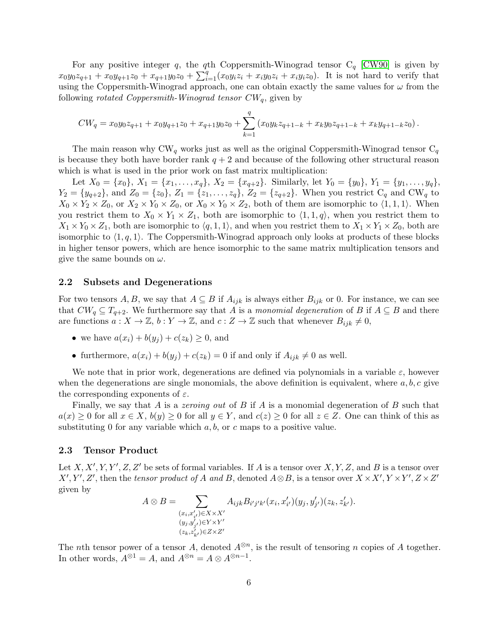For any positive integer q, the qth Coppersmith-Winograd tensor  $C_q$  [\[CW90\]](#page-14-2) is given by  $x_0y_0z_{q+1} + x_0y_{q+1}z_0 + x_{q+1}y_0z_0 + \sum_{i=1}^q (x_0y_iz_i + x_iy_0z_i + x_iy_iz_0)$ . It is not hard to verify that using the Coppersmith-Winograd approach, one can obtain exactly the same values for  $\omega$  from the following *rotated Coppersmith-Winograd tensor*  $CW_q$ , given by

$$
CW_q = x_0 y_0 z_{q+1} + x_0 y_{q+1} z_0 + x_{q+1} y_0 z_0 + \sum_{k=1}^q (x_0 y_k z_{q+1-k} + x_k y_0 z_{q+1-k} + x_k y_{q+1-k} z_0).
$$

The main reason why CW<sub>q</sub> works just as well as the original Coppersmith-Winograd tensor  $C_q$ is because they both have border rank  $q + 2$  and because of the following other structural reason which is what is used in the prior work on fast matrix multiplication:

Let  $X_0 = \{x_0\}, X_1 = \{x_1, \ldots, x_q\}, X_2 = \{x_{q+2}\}.$  Similarly, let  $Y_0 = \{y_0\}, Y_1 = \{y_1, \ldots, y_q\},$  $Y_2 = \{y_{q+2}\}\text{, and } Z_0 = \{z_0\}\text{, } Z_1 = \{z_1, \ldots, z_q\}\text{, } Z_2 = \{z_{q+2}\}\text{. When you restrict } C_q \text{ and } CW_q \text{ to } Z_1$  $X_0 \times Y_2 \times Z_0$ , or  $X_2 \times Y_0 \times Z_0$ , or  $X_0 \times Y_0 \times Z_2$ , both of them are isomorphic to  $\langle 1, 1, 1 \rangle$ . When you restrict them to  $X_0 \times Y_1 \times Z_1$ , both are isomorphic to  $\langle 1, 1, q \rangle$ , when you restrict them to  $X_1 \times Y_0 \times Z_1$ , both are isomorphic to  $\langle q, 1, 1 \rangle$ , and when you restrict them to  $X_1 \times Y_1 \times Z_0$ , both are isomorphic to  $\langle 1, q, 1 \rangle$ . The Coppersmith-Winograd approach only looks at products of these blocks in higher tensor powers, which are hence isomorphic to the same matrix multiplication tensors and give the same bounds on  $\omega$ .

#### 2.2 Subsets and Degenerations

For two tensors A, B, we say that  $A \subseteq B$  if  $A_{ijk}$  is always either  $B_{ijk}$  or 0. For instance, we can see that  $CW_q \subseteq T_{q+2}$ . We furthermore say that A is a monomial degeneration of B if  $A \subseteq B$  and there are functions  $a: X \to \mathbb{Z}$ ,  $b: Y \to \mathbb{Z}$ , and  $c: Z \to \mathbb{Z}$  such that whenever  $B_{ijk} \neq 0$ ,

- we have  $a(x_i) + b(y_i) + c(z_k) \geq 0$ , and
- furthermore,  $a(x_i) + b(y_j) + c(z_k) = 0$  if and only if  $A_{ijk} \neq 0$  as well.

We note that in prior work, degenerations are defined via polynomials in a variable  $\varepsilon$ , however when the degenerations are single monomials, the above definition is equivalent, where  $a, b, c$  give the corresponding exponents of  $\varepsilon$ .

Finally, we say that A is a *zeroing out* of B if A is a monomial degeneration of B such that  $a(x) \geq 0$  for all  $x \in X$ ,  $b(y) \geq 0$  for all  $y \in Y$ , and  $c(z) \geq 0$  for all  $z \in Z$ . One can think of this as substituting 0 for any variable which  $a, b$ , or c maps to a positive value.

#### 2.3 Tensor Product

Let  $X, X', Y, Y', Z, Z'$  be sets of formal variables. If A is a tensor over  $X, Y, Z$ , and B is a tensor over  $X', Y', Z'$ , then the tensor product of A and B, denoted  $A \otimes B$ , is a tensor over  $X \times X', Y \times Y', Z \times Z'$ given by

$$
A \otimes B = \sum_{\substack{(x_i, x'_{i'}) \in X \times X' \\ (y_j, y'_{j'}) \in Y \times Y' \\ (z_k, z'_{k'}) \in Z \times Z'}} A_{ijk} B_{i'j'k'}(x_i, x'_{i'})(y_j, y'_{j'})(z_k, z'_{k'}).
$$

The nth tensor power of a tensor A, denoted  $A^{\otimes n}$ , is the result of tensoring n copies of A together. In other words,  $A^{\otimes 1} = A$ , and  $A^{\otimes n} = A \otimes A^{\otimes n-1}$ .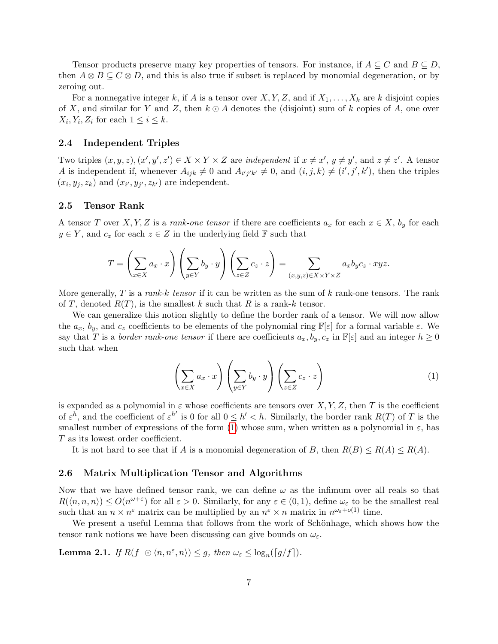Tensor products preserve many key properties of tensors. For instance, if  $A \subseteq C$  and  $B \subseteq D$ , then  $A \otimes B \subseteq C \otimes D$ , and this is also true if subset is replaced by monomial degeneration, or by zeroing out.

For a nonnegative integer k, if A is a tensor over  $X, Y, Z$ , and if  $X_1, \ldots, X_k$  are k disjoint copies of X, and similar for Y and Z, then  $k \odot A$  denotes the (disjoint) sum of k copies of A, one over  $X_i, Y_i, Z_i$  for each  $1 \leq i \leq k$ .

#### 2.4 Independent Triples

Two triples  $(x, y, z), (x', y', z') \in X \times Y \times Z$  are independent if  $x \neq x', y \neq y'$ , and  $z \neq z'$ . A tensor A is independent if, whenever  $A_{ijk} \neq 0$  and  $A_{i'j'k'} \neq 0$ , and  $(i, j, k) \neq (i', j', k')$ , then the triples  $(x_i, y_j, z_k)$  and  $(x_{i'}, y_{j'}, z_{k'})$  are independent.

#### 2.5 Tensor Rank

A tensor T over X, Y, Z is a rank-one tensor if there are coefficients  $a_x$  for each  $x \in X$ ,  $b_y$  for each  $y \in Y$ , and  $c_z$  for each  $z \in Z$  in the underlying field  $\mathbb F$  such that

$$
T = \left(\sum_{x \in X} a_x \cdot x\right) \left(\sum_{y \in Y} b_y \cdot y\right) \left(\sum_{z \in Z} c_z \cdot z\right) = \sum_{(x,y,z) \in X \times Y \times Z} a_x b_y c_z \cdot xyz.
$$

More generally, T is a rank-k tensor if it can be written as the sum of  $k$  rank-one tensors. The rank of T, denoted  $R(T)$ , is the smallest k such that R is a rank-k tensor.

We can generalize this notion slightly to define the border rank of a tensor. We will now allow the  $a_x$ ,  $b_y$ , and  $c_z$  coefficients to be elements of the polynomial ring  $\mathbb{F}[\varepsilon]$  for a formal variable  $\varepsilon$ . We say that T is a border rank-one tensor if there are coefficients  $a_x, b_y, c_z$  in  $\mathbb{F}[\varepsilon]$  and an integer  $h \geq 0$ such that when

<span id="page-7-1"></span>
$$
\left(\sum_{x \in X} a_x \cdot x\right) \left(\sum_{y \in Y} b_y \cdot y\right) \left(\sum_{z \in Z} c_z \cdot z\right) \tag{1}
$$

is expanded as a polynomial in  $\varepsilon$  whose coefficients are tensors over X, Y, Z, then T is the coefficient of  $\varepsilon^h$ , and the coefficient of  $\varepsilon^{h'}$  is 0 for all  $0 \le h' < h$ . Similarly, the border rank  $\underline{R}(T)$  of T is the smallest number of expressions of the form [\(1\)](#page-7-1) whose sum, when written as a polynomial in  $\varepsilon$ , has T as its lowest order coefficient.

It is not hard to see that if A is a monomial degeneration of B, then  $R(B) \leq R(A) \leq R(A)$ .

#### 2.6 Matrix Multiplication Tensor and Algorithms

Now that we have defined tensor rank, we can define  $\omega$  as the infimum over all reals so that  $R(\langle n,n,n \rangle) \leq O(n^{\omega+\varepsilon})$  for all  $\varepsilon > 0$ . Similarly, for any  $\varepsilon \in (0,1)$ , define  $\omega_{\varepsilon}$  to be the smallest real such that an  $n \times n^{\varepsilon}$  matrix can be multiplied by an  $n^{\varepsilon} \times n$  matrix in  $n^{\omega_{\varepsilon}+o(1)}$  time.

We present a useful Lemma that follows from the work of Schönhage, which shows how the tensor rank notions we have been discussing can give bounds on  $\omega_{\varepsilon}$ .

<span id="page-7-0"></span>**Lemma 2.1.** If  $R(f \odot \langle n, n^{\varepsilon}, n \rangle) \leq g$ , then  $\omega_{\varepsilon} \leq \log_n(\lceil g/f \rceil)$ .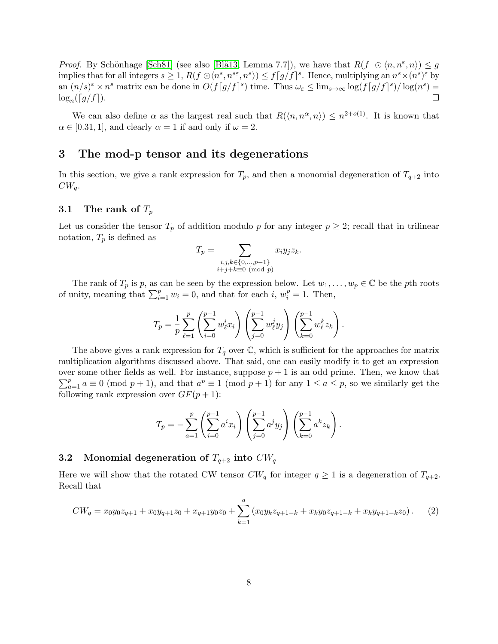*Proof.* By Schönhage [\[Sch81\]](#page-15-4) (see also [Blä13, Lemma 7.7]), we have that  $R(f \odot \langle n, n^{\varepsilon}, n \rangle) \leq g$ implies that for all integers  $s \geq 1$ ,  $R(f \odot \langle n^s, n^{s\epsilon}, n^s \rangle) \leq f[g/f]^s$ . Hence, multiplying an  $n^s \times (n^s)^\epsilon$  by an  $(n/s)^{\varepsilon} \times n^s$  matrix can be done in  $O(f[g/f]^s)$  time. Thus  $\omega_{\varepsilon} \leq \lim_{s \to \infty} \log(f[g/f]^s) / \log(n^s) =$  $\log_n(\lceil g/f\rceil).$ П

We can also define  $\alpha$  as the largest real such that  $R(\langle n,n^{\alpha},n\rangle) \leq n^{2+o(1)}$ . It is known that  $\alpha \in [0.31, 1]$ , and clearly  $\alpha = 1$  if and only if  $\omega = 2$ .

### <span id="page-8-0"></span>3 The mod-p tensor and its degenerations

In this section, we give a rank expression for  $T_p$ , and then a monomial degeneration of  $T_{q+2}$  into  $CW_q$ .

### 3.1 The rank of  $T_p$

Let us consider the tensor  $T_p$  of addition modulo p for any integer  $p \geq 2$ ; recall that in trilinear notation,  $T_p$  is defined as

$$
T_p = \sum_{\substack{i,j,k \in \{0,\dots,p-1\} \\ i+j+k \equiv 0 \pmod{p}}} x_i y_j z_k.
$$

The rank of  $T_p$  is p, as can be seen by the expression below. Let  $w_1, \ldots, w_p \in \mathbb{C}$  be the pth roots of unity, meaning that  $\sum_{i=1}^{p} w_i = 0$ , and that for each i,  $w_i^p = 1$ . Then,

$$
T_p = \frac{1}{p} \sum_{\ell=1}^p \left( \sum_{i=0}^{p-1} w_{\ell}^i x_i \right) \left( \sum_{j=0}^{p-1} w_{\ell}^j y_j \right) \left( \sum_{k=0}^{p-1} w_{\ell}^k z_k \right).
$$

The above gives a rank expression for  $T_q$  over  $\mathbb{C}$ , which is sufficient for the approaches for matrix multiplication algorithms discussed above. That said, one can easily modify it to get an expression over some other fields as well. For instance, suppose  $p + 1$  is an odd prime. Then, we know that  $\sum_{a=1}^{p} a \equiv 0 \pmod{p+1}$ , and that  $a^p \equiv 1 \pmod{p+1}$  for any  $1 \le a \le p$ , so we similarly get the following rank expression over  $GF(p+1)$ :

<span id="page-8-1"></span>
$$
T_p = -\sum_{a=1}^p \left( \sum_{i=0}^{p-1} a^i x_i \right) \left( \sum_{j=0}^{p-1} a^j y_j \right) \left( \sum_{k=0}^{p-1} a^k z_k \right).
$$

### 3.2 Monomial degeneration of  $T_{q+2}$  into  $CW_q$

Here we will show that the rotated CW tensor  $CW_q$  for integer  $q \geq 1$  is a degeneration of  $T_{q+2}$ . Recall that

$$
CW_q = x_0 y_0 z_{q+1} + x_0 y_{q+1} z_0 + x_{q+1} y_0 z_0 + \sum_{k=1}^q (x_0 y_k z_{q+1-k} + x_k y_0 z_{q+1-k} + x_k y_{q+1-k} z_0).
$$
 (2)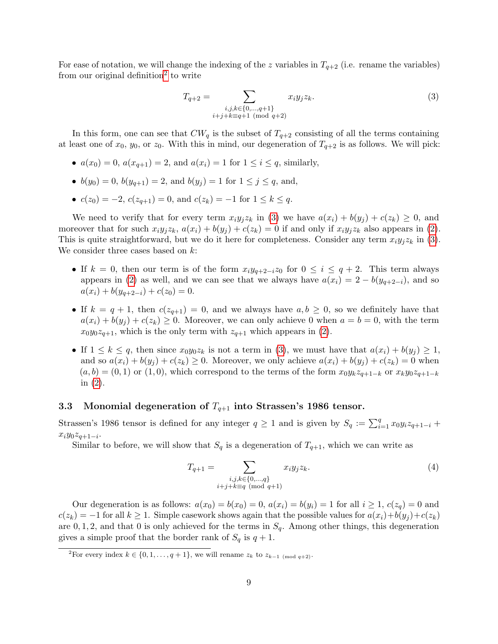For ease of notation, we will change the indexing of the z variables in  $T_{q+2}$  (i.e. rename the variables) from our original definition<sup>[2](#page-9-0)</sup> to write

<span id="page-9-1"></span>
$$
T_{q+2} = \sum_{\substack{i,j,k \in \{0,\ldots,q+1\} \\ i+j+k \equiv q+1 \pmod{q+2}}} x_i y_j z_k.
$$
 (3)

In this form, one can see that  $CW_q$  is the subset of  $T_{q+2}$  consisting of all the terms containing at least one of  $x_0$ ,  $y_0$ , or  $z_0$ . With this in mind, our degeneration of  $T_{q+2}$  is as follows. We will pick:

- $a(x_0) = 0$ ,  $a(x_{q+1}) = 2$ , and  $a(x_i) = 1$  for  $1 \le i \le q$ , similarly,
- $b(y_0) = 0$ ,  $b(y_{q+1}) = 2$ , and  $b(y_j) = 1$  for  $1 \le j \le q$ , and,
- $c(z_0) = -2$ ,  $c(z_{a+1}) = 0$ , and  $c(z_k) = -1$  for  $1 \le k \le q$ .

We need to verify that for every term  $x_i y_i z_k$  in [\(3\)](#page-9-1) we have  $a(x_i) + b(y_i) + c(z_k) \geq 0$ , and moreover that for such  $x_i y_j z_k$ ,  $a(x_i) + b(y_j) + c(z_k) = 0$  if and only if  $x_i y_j z_k$  also appears in [\(2\)](#page-8-1). This is quite straightforward, but we do it here for completeness. Consider any term  $x_i y_j z_k$  in [\(3\)](#page-9-1). We consider three cases based on  $k$ :

- If  $k = 0$ , then our term is of the form  $x_i y_{q+2-i} z_0$  for  $0 \le i \le q+2$ . This term always appears in [\(2\)](#page-8-1) as well, and we can see that we always have  $a(x_i) = 2 - b(y_{q+2-i})$ , and so  $a(x_i) + b(y_{a+2-i}) + c(z_0) = 0.$
- If  $k = q + 1$ , then  $c(z_{q+1}) = 0$ , and we always have  $a, b \geq 0$ , so we definitely have that  $a(x_i) + b(y_i) + c(z_k) \geq 0$ . Moreover, we can only achieve 0 when  $a = b = 0$ , with the term  $x_0y_0z_{q+1}$ , which is the only term with  $z_{q+1}$  which appears in [\(2\)](#page-8-1).
- If  $1 \leq k \leq q$ , then since  $x_0y_0z_k$  is not a term in [\(3\)](#page-9-1), we must have that  $a(x_i) + b(y_i) \geq 1$ , and so  $a(x_i) + b(y_j) + c(z_k) \geq 0$ . Moreover, we only achieve  $a(x_i) + b(y_j) + c(z_k) = 0$  when  $(a, b) = (0, 1)$  or  $(1, 0)$ , which correspond to the terms of the form  $x_0y_kz_{q+1-k}$  or  $x_ky_0z_{q+1-k}$ in [\(2\)](#page-8-1).

### 3.3 Monomial degeneration of  $T_{q+1}$  into Strassen's 1986 tensor.

Strassen's 1986 tensor is defined for any integer  $q \ge 1$  and is given by  $S_q := \sum_{i=1}^q x_0 y_i z_{q+1-i} +$  $x_i y_0 z_{q+1-i}$ .

Similar to before, we will show that  $S_q$  is a degeneration of  $T_{q+1}$ , which we can write as

$$
T_{q+1} = \sum_{\substack{i,j,k \in \{0,\dots,q\} \\ i+j+k \equiv q \pmod{q+1}}} x_i y_j z_k.
$$
 (4)

Our degeneration is as follows:  $a(x_0) = b(x_0) = 0$ ,  $a(x_i) = b(y_i) = 1$  for all  $i \ge 1$ ,  $c(z_q) = 0$  and  $c(z_k) = -1$  for all  $k \geq 1$ . Simple casework shows again that the possible values for  $a(x_i)+b(y_i)+c(z_k)$ are 0, 1, 2, and that 0 is only achieved for the terms in  $S_q$ . Among other things, this degeneration gives a simple proof that the border rank of  $S_q$  is  $q+1$ .

<span id="page-9-0"></span><sup>&</sup>lt;sup>2</sup>For every index  $k \in \{0, 1, \ldots, q+1\}$ , we will rename  $z_k$  to  $z_{k-1 \pmod{q+2}}$ .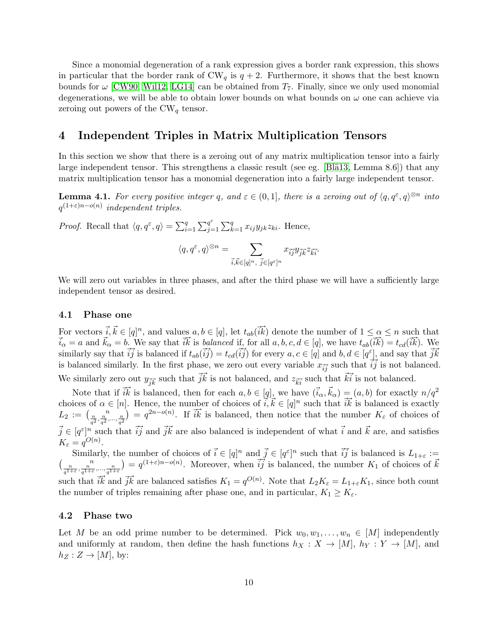Since a monomial degeneration of a rank expression gives a border rank expression, this shows in particular that the border rank of  $CW_q$  is  $q + 2$ . Furthermore, it shows that the best known bounds for  $\omega$  [\[CW90,](#page-14-2) [Wil12,](#page-15-6) [LG14\]](#page-14-4) can be obtained from  $T_7$ . Finally, since we only used monomial degenerations, we will be able to obtain lower bounds on what bounds on  $\omega$  one can achieve via zeroing out powers of the  $CW_q$  tensor.

# <span id="page-10-0"></span>4 Independent Triples in Matrix Multiplication Tensors

In this section we show that there is a zeroing out of any matrix multiplication tensor into a fairly large independent tensor. This strengthens a classic result (see eg. [Bl $\ddot{a}13$ , Lemma 8.6]) that any matrix multiplication tensor has a monomial degeneration into a fairly large independent tensor.

<span id="page-10-1"></span>**Lemma 4.1.** For every positive integer q, and  $\varepsilon \in (0,1]$ , there is a zeroing out of  $\langle q, q^{\varepsilon}, q \rangle^{\otimes n}$  into  $q^{(1+\varepsilon)n-o(n)}$  independent triples.

*Proof.* Recall that  $\langle q, q^{\varepsilon}, q \rangle = \sum_{i=1}^{q} \sum_{j=1}^{q^{\varepsilon}}$  $_{j=1}^{q^{\varepsilon}}\sum_{k=1}^{q}x_{ij}y_{jk}z_{ki}$ . Hence,

$$
\langle q, q^{\varepsilon}, q \rangle^{\otimes n} = \sum_{\vec{i}, \vec{k} \in [q]^n, \ \vec{j} \in [q^{\varepsilon}]^n} x_{\vec{i}\vec{j}} y_{\vec{j}\vec{k}} z_{\vec{k}\vec{i}}.
$$

We will zero out variables in three phases, and after the third phase we will have a sufficiently large independent tensor as desired.

#### 4.1 Phase one

For vectors  $\vec{i}, \vec{k} \in [q]^n$ , and values  $a, b \in [q]$ , let  $t_{ab}(\vec{i}\vec{k})$  denote the number of  $1 \leq \alpha \leq n$  such that  $\vec{i}_{\alpha} = a$  and  $\vec{k}_{\alpha} = b$ . We say that  $\vec{i}\vec{k}$  is balanced if, for all  $a, b, c, d \in [q]$ , we have  $t_{ab}(\vec{i}\vec{k}) = t_{cd}(\vec{i}\vec{k})$ . We similarly say that  $\vec{ij}$  is balanced if  $t_{ab}(\vec{ij}) = t_{cd}(\vec{ij})$  for every  $a, c \in [q]$  and  $b, d \in [q^{\varepsilon}]$ , and say that  $\vec{jk}$ is balanced similarly. In the first phase, we zero out every variable  $x_{\vec{i}\vec{j}}$  such that  $\vec{i}\vec{j}$  is not balanced. We similarly zero out  $y_{\vec{j}\vec{k}}$  such that  $\vec{j}\vec{k}$  is not balanced, and  $z_{\vec{k}i}$  such that  $\vec{k}i$  is not balanced.

Note that if  $\vec{i}\vec{k}$  is balanced, then for each  $a, b \in [q]$ , we have  $(\vec{i}_{\alpha}, \vec{k}_{\alpha}) = (a, b)$  for exactly  $n/q^2$ choices of  $\alpha \in [n]$ . Hence, the number of choices of  $\vec{i}, \vec{k} \in [q]^n$  such that  $\vec{i}\vec{k}$  is balanced is exactly  $L_2 := \left(\frac{n}{q^2}, \frac{n}{q^2}, \dots, \frac{n}{q^2}\right) = q^{2n - o(n)}$ . If  $\tilde{i}\tilde{k}$  is balanced, then notice that the number  $K_{\varepsilon}$  of choices of  $\vec{j} \in [q^{\varepsilon}]^n$  such that  $\vec{i}\vec{j}$  and  $\vec{j}\vec{k}$  are also balanced is independent of what  $\vec{i}$  and  $\vec{k}$  are, and satisfies  $K_{\varepsilon} = q^{O(n)}.$ 

Similarly, the number of choices of  $\vec{i} \in [q]^n$  and  $\vec{j} \in [q^{\varepsilon}]^n$  such that  $\vec{ij}$  is balanced is  $L_{1+\varepsilon} :=$  $\left(\frac{n}{q^{1+\varepsilon}}, \frac{n}{q^{1+\varepsilon}}, \ldots, \frac{n}{q^{1+\varepsilon}}\right) = q^{(1+\varepsilon)n-o(n)}$ . Moreover, when  $\overrightarrow{ij}$  is balanced, the number  $K_1$  of choices of  $\vec{k}$ such that  $\vec{i}\vec{k}$  and  $\vec{j}\vec{k}$  are balanced satisfies  $K_1 = q^{O(n)}$ . Note that  $L_2K_\varepsilon = L_{1+\varepsilon}K_1$ , since both count the number of triples remaining after phase one, and in particular,  $K_1 \geq K_{\varepsilon}$ .

#### 4.2 Phase two

Let M be an odd prime number to be determined. Pick  $w_0, w_1, \ldots, w_n \in [M]$  independently and uniformly at random, then define the hash functions  $h_X : X \to [M], h_Y : Y \to [M]$ , and  $h_Z: Z \to [M], \text{ by:}$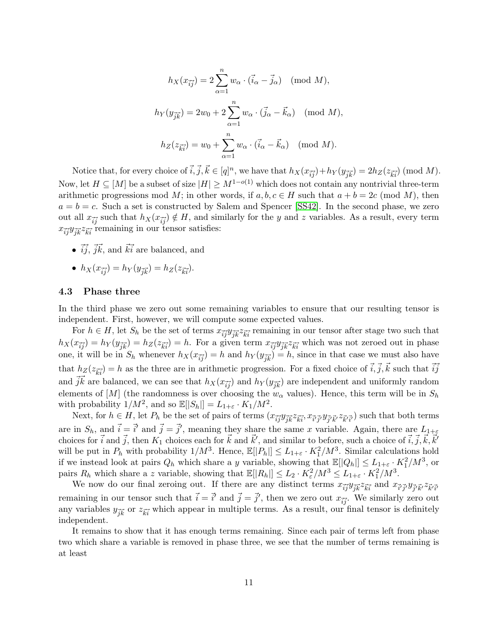$$
h_X(x_{\vec{ij}}) = 2\sum_{\alpha=1}^n w_\alpha \cdot (\vec{i}_\alpha - \vec{j}_\alpha) \pmod{M},
$$
  

$$
h_Y(y_{\vec{j}\vec{k}}) = 2w_0 + 2\sum_{\alpha=1}^n w_\alpha \cdot (\vec{j}_\alpha - \vec{k}_\alpha) \pmod{M},
$$
  

$$
h_Z(z_{\vec{k}\vec{i}}) = w_0 + \sum_{\alpha=1}^n w_\alpha \cdot (\vec{i}_\alpha - \vec{k}_\alpha) \pmod{M}.
$$

Notice that, for every choice of  $\vec{i}, \vec{j}, \vec{k} \in [q]^n$ , we have that  $h_X(x_{\vec{ij}}) + h_Y(y_{\vec{j}\vec{k}}) = 2h_Z(z_{\vec{k}\vec{i}}) \pmod{M}$ . Now, let  $H \subseteq [M]$  be a subset of size  $|H| \geq M^{1-o(1)}$  which does not contain any nontrivial three-term arithmetic progressions mod M; in other words, if  $a, b, c \in H$  such that  $a + b = 2c \pmod{M}$ , then  $a = b = c$ . Such a set is constructed by Salem and Spencer [\[SS42\]](#page-15-11). In the second phase, we zero out all  $x_{\vec{ij}}$  such that  $h_X(x_{\vec{ij}}) \notin H$ , and similarly for the y and z variables. As a result, every term  $x_{\vec{i}\vec{j}}y_{\vec{j}\vec{k}}z_{\vec{k}i}$  remaining in our tensor satisfies:

•  $\vec{i}$ ,  $\vec{j}$ ,  $\vec{k}$ , and  $\vec{k}$  are balanced, and

• 
$$
h_X(x_{\overrightarrow{ij}}) = h_Y(y_{\overrightarrow{jk}}) = h_Z(z_{\overrightarrow{ki}}).
$$

#### 4.3 Phase three

In the third phase we zero out some remaining variables to ensure that our resulting tensor is independent. First, however, we will compute some expected values.

For  $h \in H$ , let  $S_h$  be the set of terms  $x_{\vec{i}\vec{j}}y_{\vec{j}\vec{k}}z_{\vec{k}\vec{i}}$  remaining in our tensor after stage two such that  $h_X(x_{\vec{i}\vec{j}}) = h_Y(y_{\vec{j}\vec{k}}) = h_Z(z_{\vec{k}\vec{i}}) = h$ . For a given term  $x_{\vec{i}\vec{j}}y_{\vec{j}\vec{k}}z_{\vec{k}\vec{i}}$  which was not zeroed out in phase one, it will be in  $S_h$  whenever  $h_X(x_{\vec{i}\vec{j}}) = h$  and  $h_Y(y_{\vec{j}\vec{k}}) = h$ , since in that case we must also have that  $h_Z(z_{\vec{k}i}) = h$  as the three are in arithmetic progression. For a fixed choice of  $\vec{i}, \vec{j}, \vec{k}$  such that  $\vec{ij}$ and  $\vec{j}\vec{k}$  are balanced, we can see that  $h_X(x_{\vec{i}\vec{j}})$  and  $h_Y(y_{\vec{j}\vec{k}})$  are independent and uniformly random elements of [M] (the randomness is over choosing the  $w_\alpha$  values). Hence, this term will be in  $S_h$ with probability  $1/M^2$ , and so  $\mathbb{E}[|S_h|] = L_{1+\varepsilon} \cdot K_1/M^2$ .

Next, for  $h \in H$ , let  $P_h$  be the set of pairs of terms  $(x_{\vec{i}\vec{j}}y_{\vec{j}\vec{k}}z_{\vec{k}\vec{i}}, x_{\vec{i}\vec{j'}}y_{\vec{j'}\vec{k'}}z_{\vec{k'}\vec{i'}})$  such that both terms are in  $S_h$ , and  $\vec{i} = \vec{i}'$  and  $\vec{j} = \vec{j}'$ , meaning they share the same x variable. Again, there are  $L_{1+\varepsilon}$ choices for  $\vec{i}$  and  $\vec{j}$ , then  $K_1$  choices each for  $\vec{k}$  and  $\vec{k}'$ , and similar to before, such a choice of  $\vec{i}, \vec{j}, \vec{k}, \vec{k}'$ will be put in  $P_h$  with probability  $1/M^3$ . Hence,  $\mathbb{E}[|P_h|] \leq L_{1+\varepsilon} \cdot K_1^2/M^3$ . Similar calculations hold if we instead look at pairs  $Q_h$  which share a y variable, showing that  $\mathbb{E}[|Q_h|] \leq L_{1+\varepsilon} \cdot K_1^2/M^3$ , or pairs  $R_h$  which share a z variable, showing that  $\mathbb{E}[|R_h|] \leq L_2 \cdot K_\varepsilon^2 / M^3 \leq L_{1+\varepsilon} \cdot K_1^2 / M^3$ .

We now do our final zeroing out. If there are any distinct terms  $x_{\vec{i}\vec{j}}y_{\vec{j}\vec{k}}z_{\vec{k}\vec{i}}$  and  $x_{\vec{i}'\vec{j}'}y_{\vec{j}'\vec{k}}z_{\vec{k}'\vec{i}'}$ remaining in our tensor such that  $\vec{i} = \vec{i}'$  and  $\vec{j} = \vec{j}'$ , then we zero out  $x_{\vec{ij}}$ . We similarly zero out any variables  $y_{\vec{jk}}$  or  $z_{\vec{ki}}$  which appear in multiple terms. As a result, our final tensor is definitely independent.

It remains to show that it has enough terms remaining. Since each pair of terms left from phase two which share a variable is removed in phase three, we see that the number of terms remaining is at least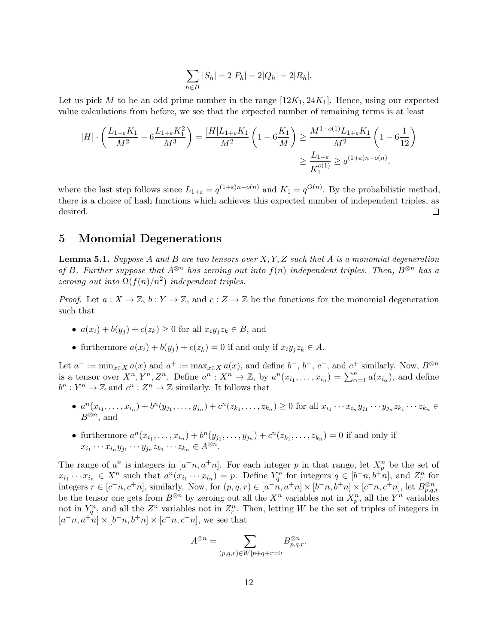$$
\sum_{h \in H} |S_h| - 2|P_h| - 2|Q_h| - 2|R_h|.
$$

Let us pick M to be an odd prime number in the range  $[12K_1, 24K_1]$ . Hence, using our expected value calculations from before, we see that the expected number of remaining terms is at least

$$
|H| \cdot \left(\frac{L_{1+\varepsilon}K_1}{M^2} - 6\frac{L_{1+\varepsilon}K_1^2}{M^3}\right) = \frac{|H|L_{1+\varepsilon}K_1}{M^2} \left(1 - 6\frac{K_1}{M}\right) \ge \frac{M^{1-o(1)}L_{1+\varepsilon}K_1}{M^2} \left(1 - 6\frac{1}{12}\right)
$$

$$
\ge \frac{L_{1+\varepsilon}}{K_1^{o(1)}} \ge q^{(1+\varepsilon)n-o(n)},
$$

where the last step follows since  $L_{1+\varepsilon} = q^{(1+\varepsilon)n - o(n)}$  and  $K_1 = q^{O(n)}$ . By the probabilistic method, there is a choice of hash functions which achieves this expected number of independent triples, as desired.  $\Box$ 

# <span id="page-12-0"></span>5 Monomial Degenerations

<span id="page-12-1"></span>**Lemma 5.1.** Suppose A and B are two tensors over  $X, Y, Z$  such that A is a monomial degeneration of B. Further suppose that  $A^{\otimes n}$  has zeroing out into  $f(n)$  independent triples. Then,  $B^{\otimes n}$  has a zeroing out into  $\Omega(f(n)/n^2)$  independent triples.

*Proof.* Let  $a: X \to \mathbb{Z}$ ,  $b: Y \to \mathbb{Z}$ , and  $c: Z \to \mathbb{Z}$  be the functions for the monomial degeneration such that

- $a(x_i) + b(y_i) + c(z_k) \geq 0$  for all  $x_i y_i z_k \in B$ , and
- furthermore  $a(x_i) + b(y_i) + c(z_k) = 0$  if and only if  $x_i y_j z_k \in A$ .

Let  $a^- := \min_{x \in X} a(x)$  and  $a^+ := \max_{x \in X} a(x)$ , and define  $b^-$ ,  $b^+$ ,  $c^-$ , and  $c^+$  similarly. Now,  $B^{\otimes n}$ is a tensor over  $X^n, Y^n, Z^n$ . Define  $a^n : X^n \to \mathbb{Z}$ , by  $a^n(x_{i_1}, \ldots, x_{i_n}) = \sum_{\alpha=1}^n a(x_{i_\alpha})$ , and define  $b^n: Y^n \to \mathbb{Z}$  and  $c^n: Z^n \to \mathbb{Z}$  similarly. It follows that

- $a^n(x_{i_1},...,x_{i_n})+b^n(y_{j_1},...,y_{j_n})+c^n(z_{k_1},...,z_{k_n})\geq 0$  for all  $x_{i_1}\cdots x_{i_n}y_{j_1}\cdots y_{j_n}z_{k_1}\cdots z_{k_n}\in$  $B^{\otimes n}$ , and
- furthermore  $a^n(x_{i_1},...,x_{i_n}) + b^n(y_{j_1},...,y_{j_n}) + c^n(z_{k_1},...,z_{k_n}) = 0$  if and only if  $x_{i_1}\cdots x_{i_n}y_{j_1}\cdots y_{j_n}z_{k_1}\cdots z_{k_n}\in A^{\otimes n}.$

The range of  $a^n$  is integers in  $[a^-n, a^+n]$ . For each integer p in that range, let  $X_p^n$  be the set of  $x_{i_1}\cdots x_{i_n}\in X^n$  such that  $a^n(x_{i_1}\cdots x_{i_n})=p$ . Define  $Y_q^n$  for integers  $q\in[b^-n,b^+n]$ , and  $Z_r^n$  for integers  $r \in [c^{\text{-}} n, c^{\text{+}} n]$ , similarly. Now, for  $(p, q, r) \in [a^{\text{-}} n, a^{\text{+}} n] \times [b^{\text{-}} n, b^{\text{+}} n] \times [c^{\text{-}} n, c^{\text{+}} n]$ , let  $B_{p,q,r}^{\otimes n}$ be the tensor one gets from  $B^{\otimes n}$  by zeroing out all the  $X^n$  variables not in  $X_p^n$ , all the  $Y^n$  variables not in  $Y_q^n$ , and all the  $Z^n$  variables not in  $Z_r^n$ . Then, letting W be the set of triples of integers in  $[a^-n, a^+n] \times [b^-n, b^+n] \times [c^-n, c^+n]$ , we see that

$$
A^{\otimes n} = \sum_{(p,q,r)\in W|p+q+r=0} B^{\otimes n}_{p,q,r},
$$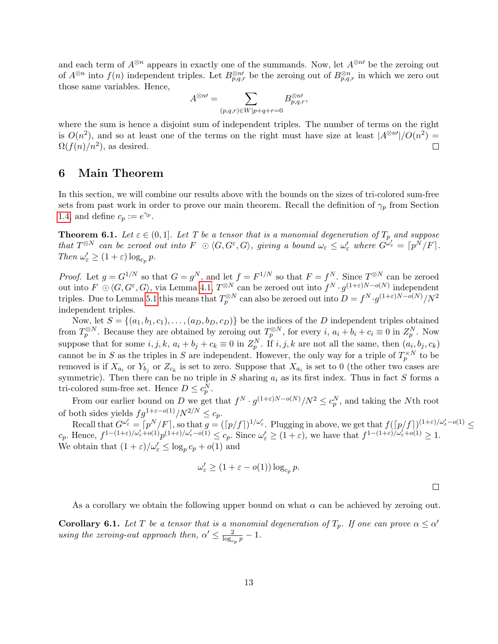and each term of  $A^{\otimes n}$  appears in exactly one of the summands. Now, let  $A^{\otimes n}$  be the zeroing out of  $A^{\otimes n}$  into  $f(n)$  independent triples. Let  $B_{p,q,r}^{\otimes n'}$  be the zeroing out of  $B_{p,q,r}^{\otimes n}$  in which we zero out those same variables. Hence,

$$
A^{\otimes n\prime} = \sum_{(p,q,r)\in W|p+q+r=0} B^{\otimes n\prime}_{p,q,r},
$$

where the sum is hence a disjoint sum of independent triples. The number of terms on the right is  $O(n^2)$ , and so at least one of the terms on the right must have size at least  $|A^{\otimes n'}|/O(n^2)$  $\Omega(f(n)/n^2)$ , as desired. П

# <span id="page-13-1"></span>6 Main Theorem

In this section, we will combine our results above with the bounds on the sizes of tri-colored sum-free sets from past work in order to prove our main theorem. Recall the definition of  $\gamma_p$  from Section [1.4,](#page-3-2) and define  $c_p := e^{\gamma_p}$ .

<span id="page-13-0"></span>**Theorem 6.1.** Let  $\varepsilon \in (0,1]$ . Let T be a tensor that is a monomial degeneration of  $T_p$  and suppose that  $T^{\otimes N}$  can be zeroed out into  $F \odot \langle G, G^{\varepsilon}, G \rangle$ , giving a bound  $\omega_{\varepsilon} \leq \omega_{\varepsilon}'$  where  $G^{\omega_{\varepsilon}'} = \lceil p^{\tilde{N}}/F \rceil$ . Then  $\omega_{\varepsilon}' \geq (1+\varepsilon) \log_{c_p} p$ .

*Proof.* Let  $g = G^{1/N}$  so that  $G = g^N$ , and let  $f = F^{1/N}$  so that  $F = f^N$ . Since  $T^{\otimes N}$  can be zeroed out into  $F \n\odot \langle G, G^{\varepsilon}, G \rangle$ , via Lemma [4.1,](#page-10-1)  $T^{\otimes N}$  can be zeroed out into  $f^{N} \cdot g^{(1+\varepsilon)N-o(N)}$  independent triples. Due to Lemma [5.1](#page-12-1) this means that  $T_p^{\otimes N}$  can also be zeroed out into  $D = f^N \cdot g^{(1+\varepsilon)N - o(N)}/N^2$ independent triples.

Now, let  $S = \{(a_1, b_1, c_1), \ldots, (a_D, b_D, c_D)\}\$ be the indices of the D independent triples obtained from  $T_p^{\otimes N}$ . Because they are obtained by zeroing out  $T_p^{\otimes N}$ , for every i,  $a_i + b_i + c_i \equiv 0$  in  $Z_p^N$ . Now suppose that for some  $i, j, k, a_i + b_j + c_k \equiv 0$  in  $Z_p^N$ . If  $i, j, k$  are not all the same, then  $(a_i, b_j, c_k)$ cannot be in S as the triples in S are independent. However, the only way for a triple of  $T_p^{\times N}$  to be removed is if  $X_{a_i}$  or  $Y_{b_j}$  or  $Z_{c_k}$  is set to zero. Suppose that  $X_{a_i}$  is set to 0 (the other two cases are symmetric). Then there can be no triple in S sharing  $a_i$  as its first index. Thus in fact S forms a tri-colored sum-free set. Hence  $D \leq c_p^N$ .

From our earlier bound on D we get that  $f^N \cdot g^{(1+\varepsilon)N-o(N)}/N^2 \leq c_p^N$ , and taking the Nth root of both sides yields  $fq^{1+\varepsilon-o(1)}/N^{2/N} \leq c_p$ .

Recall that  $G^{\omega'_{\varepsilon}} = \lceil p^N/F \rceil$ , so that  $g = (\lceil p/f \rceil)^{1/\omega'_{\varepsilon}}$ . Plugging in above, we get that  $f(\lceil p/f \rceil)^{(1+\varepsilon)/\omega'_{\varepsilon}-o(1)} \le$  $c_p$ . Hence,  $f^{1-(1+\varepsilon)/\omega'_\varepsilon+o(1)}p^{(1+\varepsilon)/\omega'_\varepsilon-o(1)} \leq c_p$ . Since  $\omega'_\varepsilon \geq (1+\varepsilon)$ , we have that  $f^{1-(1+\varepsilon)/\omega'_\varepsilon+o(1)} \geq 1$ . We obtain that  $(1+\varepsilon)/\omega_{\varepsilon}' \le \log_p c_p + o(1)$  and

$$
\omega_{\varepsilon}' \ge (1 + \varepsilon - o(1)) \log_{c_p} p.
$$

 $\Box$ 

As a corollary we obtain the following upper bound on what  $\alpha$  can be achieved by zeroing out.

**Corollary 6.1.** Let T be a tensor that is a monomial degeneration of  $T_p$ . If one can prove  $\alpha \leq \alpha'$ using the zeroing-out approach then,  $\alpha' \leq \frac{2}{\log n}$  $\frac{2}{\log_{cp} p}-1$  .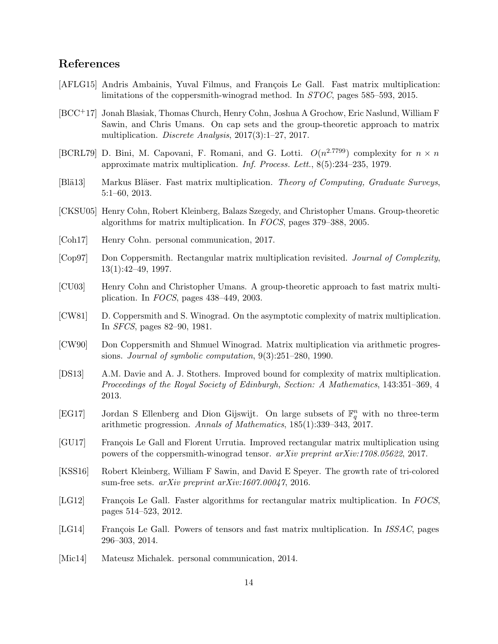# References

- <span id="page-14-13"></span>[AFLG15] Andris Ambainis, Yuval Filmus, and François Le Gall. Fast matrix multiplication: limitations of the coppersmith-winograd method. In STOC, pages 585–593, 2015.
- <span id="page-14-12"></span>[BCC+17] Jonah Blasiak, Thomas Church, Henry Cohn, Joshua A Grochow, Eric Naslund, William F Sawin, and Chris Umans. On cap sets and the group-theoretic approach to matrix multiplication. Discrete Analysis, 2017(3):1–27, 2017.
- <span id="page-14-0"></span>[BCRL79] D. Bini, M. Capovani, F. Romani, and G. Lotti.  $O(n^{2.7799})$  complexity for  $n \times n$ approximate matrix multiplication. Inf. Process. Lett., 8(5):234–235, 1979.
- <span id="page-14-9"></span>[Blä13] Markus Bläser. Fast matrix multiplication. Theory of Computing, Graduate Surveys, 5:1–60, 2013.
- <span id="page-14-15"></span>[CKSU05] Henry Cohn, Robert Kleinberg, Balazs Szegedy, and Christopher Umans. Group-theoretic algorithms for matrix multiplication. In FOCS, pages 379–388, 2005.
- <span id="page-14-16"></span>[Coh17] Henry Cohn. personal communication, 2017.
- <span id="page-14-5"></span>[Cop97] Don Coppersmith. Rectangular matrix multiplication revisited. Journal of Complexity, 13(1):42–49, 1997.
- <span id="page-14-14"></span>[CU03] Henry Cohn and Christopher Umans. A group-theoretic approach to fast matrix multiplication. In FOCS, pages 438–449, 2003.
- <span id="page-14-1"></span>[CW81] D. Coppersmith and S. Winograd. On the asymptotic complexity of matrix multiplication. In SFCS, pages 82–90, 1981.
- <span id="page-14-2"></span>[CW90] Don Coppersmith and Shmuel Winograd. Matrix multiplication via arithmetic progressions. Journal of symbolic computation, 9(3):251–280, 1990.
- <span id="page-14-3"></span>[DS13] A.M. Davie and A. J. Stothers. Improved bound for complexity of matrix multiplication. Proceedings of the Royal Society of Edinburgh, Section: A Mathematics, 143:351–369, 4 2013.
- <span id="page-14-10"></span>[EG17] Jordan S Ellenberg and Dion Gijswijt. On large subsets of  $\mathbb{F}_q^n$  with no three-term arithmetic progression. Annals of Mathematics, 185(1):339–343, 2017.
- <span id="page-14-7"></span>[GU17] François Le Gall and Florent Urrutia. Improved rectangular matrix multiplication using powers of the coppersmith-winograd tensor. arXiv preprint arXiv:1708.05622, 2017.
- <span id="page-14-11"></span>[KSS16] Robert Kleinberg, William F Sawin, and David E Speyer. The growth rate of tri-colored sum-free sets. arXiv preprint arXiv:1607.00047, 2016.
- <span id="page-14-6"></span>[LG12] François Le Gall. Faster algorithms for rectangular matrix multiplication. In FOCS, pages 514–523, 2012.
- <span id="page-14-4"></span>[LG14] François Le Gall. Powers of tensors and fast matrix multiplication. In *ISSAC*, pages 296–303, 2014.
- <span id="page-14-8"></span>[Mic14] Mateusz Michalek. personal communication, 2014.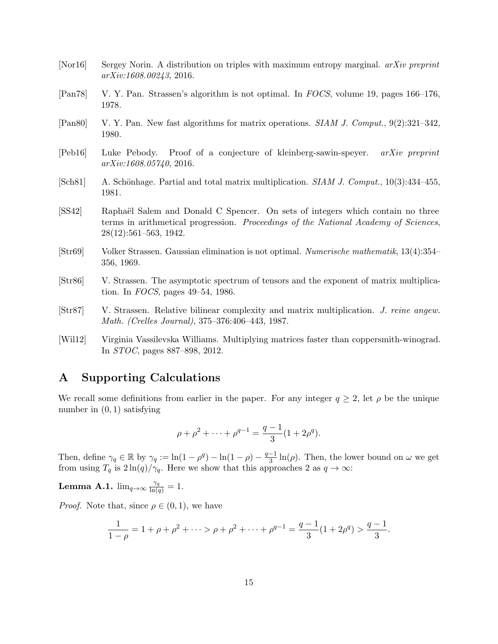- <span id="page-15-9"></span>[Nor16] Sergey Norin. A distribution on triples with maximum entropy marginal. *arXiv preprint* arXiv:1608.00243, 2016.
- <span id="page-15-1"></span>[Pan78] V. Y. Pan. Strassen's algorithm is not optimal. In FOCS, volume 19, pages 166–176, 1978.
- <span id="page-15-2"></span>[Pan80] V. Y. Pan. New fast algorithms for matrix operations. SIAM J. Comput., 9(2):321–342, 1980.
- <span id="page-15-10"></span>[Peb16] Luke Pebody. Proof of a conjecture of kleinberg-sawin-speyer. arXiv preprint arXiv:1608.05740, 2016.
- <span id="page-15-4"></span>[Sch81] A. Schönhage. Partial and total matrix multiplication.  $SIAM J. Comput.$ , 10(3):434–455, 1981.
- <span id="page-15-11"></span>[SS42] Raphaël Salem and Donald C Spencer. On sets of integers which contain no three terms in arithmetical progression. Proceedings of the National Academy of Sciences, 28(12):561–563, 1942.
- <span id="page-15-0"></span>[Str69] Volker Strassen. Gaussian elimination is not optimal. Numerische mathematik, 13(4):354– 356, 1969.
- <span id="page-15-3"></span>[Str86] V. Strassen. The asymptotic spectrum of tensors and the exponent of matrix multiplication. In FOCS, pages 49–54, 1986.
- <span id="page-15-5"></span>[Str87] V. Strassen. Relative bilinear complexity and matrix multiplication. J. reine angew. Math. (Crelles Journal), 375–376:406–443, 1987.
- <span id="page-15-6"></span>[Wil12] Virginia Vassilevska Williams. Multiplying matrices faster than coppersmith-winograd. In STOC, pages 887–898, 2012.

# <span id="page-15-8"></span>A Supporting Calculations

We recall some definitions from earlier in the paper. For any integer  $q \geq 2$ , let  $\rho$  be the unique number in  $(0, 1)$  satisfying

$$
\rho + \rho^2 + \dots + \rho^{q-1} = \frac{q-1}{3} (1 + 2\rho^q).
$$

Then, define  $\gamma_q \in \mathbb{R}$  by  $\gamma_q := \ln(1 - \rho^q) - \ln(1 - \rho) - \frac{q-1}{3}$  $\frac{-1}{3}$  ln( $\rho$ ). Then, the lower bound on  $\omega$  we get from using  $T_q$  is  $2 \ln(q)/\gamma_q$ . Here we show that this approaches 2 as  $q \to \infty$ :

<span id="page-15-7"></span>**Lemma A.1.**  $\lim_{q\to\infty} \frac{\gamma_q}{\ln(q)} = 1$ .

*Proof.* Note that, since  $\rho \in (0,1)$ , we have

$$
\frac{1}{1-\rho} = 1 + \rho + \rho^2 + \dots > \rho + \rho^2 + \dots + \rho^{q-1} = \frac{q-1}{3}(1+2\rho^q) > \frac{q-1}{3}.
$$